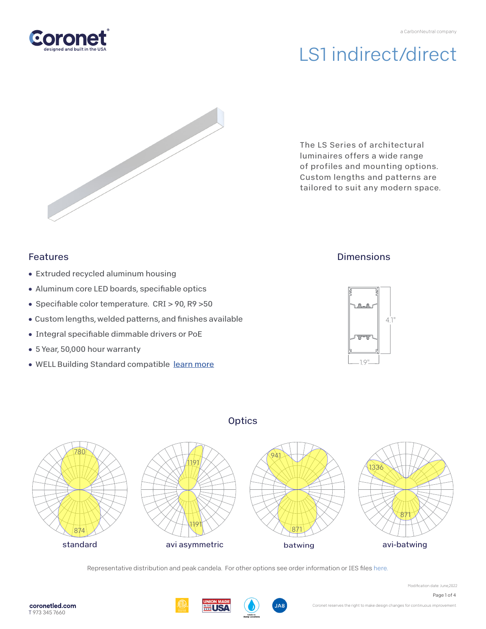



The LS Series of architectural luminaires offers a wide range of profiles and mounting options. Custom lengths and patterns are tailored to suit any modern space.

### Features

- Extruded recycled aluminum housing
- Aluminum core LED boards, specifiable optics
- Specifiable color temperature. CRI > 90, R9 > 50
- Custom lengths, welded patterns, and finishes available
- Integral specifiable dimmable drivers or PoE
- 5 Year, 50,000 hour warranty
- WELL Building Standard compatible [learn more](https://coronetled.com/well-v2-standard/)

### **Dimensions**





**Optics** 

Representative distribution and peak candela. For other options see order information or IES fil[es here.](https://coronetled.com/downloads/)



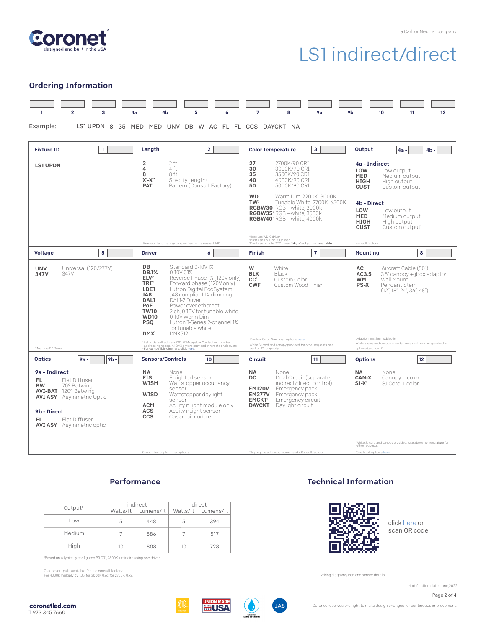

#### Ordering Information



LS1 UPDN - 8 - 35 - MED - MED - UNV - DB - W - AC - FL - FL - CCS - DAYCKT - NA Example:

| <b>Fixture ID</b><br>$\mathbf{1}$                                                                                                                                                                             | $\overline{2}$<br>Lenath                                                                                                                                                                                                                                                                                                                                                                                                                                                                                                                                                                                                                                                                               | 3<br><b>Color Temperature</b>                                                                                                                                                                                                              | Output<br>4 <sub>b</sub><br>4a -                                                                                                                                                                                                                                                              |  |
|---------------------------------------------------------------------------------------------------------------------------------------------------------------------------------------------------------------|--------------------------------------------------------------------------------------------------------------------------------------------------------------------------------------------------------------------------------------------------------------------------------------------------------------------------------------------------------------------------------------------------------------------------------------------------------------------------------------------------------------------------------------------------------------------------------------------------------------------------------------------------------------------------------------------------------|--------------------------------------------------------------------------------------------------------------------------------------------------------------------------------------------------------------------------------------------|-----------------------------------------------------------------------------------------------------------------------------------------------------------------------------------------------------------------------------------------------------------------------------------------------|--|
| <b>LS1 UPDN</b>                                                                                                                                                                                               | $2$ ft<br>$\overline{2}$<br>4<br>4 ft<br>8<br>8 ft<br>$X'$ - $X''$<br>Specify Length<br>Pattern (Consult Factory)<br><b>PAT</b>                                                                                                                                                                                                                                                                                                                                                                                                                                                                                                                                                                        | 27<br>2700K/90 CRI<br>30<br>3000K/90 CRI<br>35<br>3500K/90 CRI<br>40<br>4000K/90 CRI<br>50<br>5000K/90 CRI                                                                                                                                 | 4a - Indirect<br>LOW<br>Low output<br><b>MED</b><br>Medium output<br><b>HIGH</b><br>High output<br><b>CUST</b><br>Custom output <sup>1</sup>                                                                                                                                                  |  |
|                                                                                                                                                                                                               |                                                                                                                                                                                                                                                                                                                                                                                                                                                                                                                                                                                                                                                                                                        | Warm Dim 2200K-3000K<br><b>WD</b><br>TW <sup>2</sup><br>Tunable White 2700K-6500K<br>RGBW30 <sup>3</sup> RGB +white, 3000k<br><b>RGBW35</b> <sup>3</sup> RGB +white, 3500k<br>RGBW40 <sup>3</sup> RGB +white. 4000k                        | 4b - Direct<br>LOW<br>Low output<br><b>MED</b><br>Medium output<br><b>HIGH</b><br>High output<br><b>CUST</b><br>Custom output <sup>1</sup>                                                                                                                                                    |  |
|                                                                                                                                                                                                               | 'Precision lengths may be specified to the nearest 1/8".                                                                                                                                                                                                                                                                                                                                                                                                                                                                                                                                                                                                                                               | Must use WD10 driver.<br><sup>2</sup> Must use TW10 or PSQdriver.<br><sup>3</sup> Must use remote DMX driver. "High" output not available.                                                                                                 | consult factory                                                                                                                                                                                                                                                                               |  |
| $\overline{\mathbf{5}}$<br><b>Voltage</b>                                                                                                                                                                     | <b>Driver</b><br>6                                                                                                                                                                                                                                                                                                                                                                                                                                                                                                                                                                                                                                                                                     | $\overline{7}$<br>Finish                                                                                                                                                                                                                   | 8<br>Mounting                                                                                                                                                                                                                                                                                 |  |
| Universal (120/277V)<br><b>UNV</b><br>347V<br>347V<br><sup>I</sup> Must use DB Driver                                                                                                                         | DB<br>Standard 0-10V1%<br><b>DB.1%</b><br>0-10V 0.1%<br>ELV <sup>2</sup><br>Reverse Phase 1% (120V only)<br>TRI <sup>2</sup><br>Forward phase (120V only)<br>Lutron Digital EcoSystem<br>LDE1<br>BAL<br>JA8 compliant 1% dimming<br><b>DALI</b><br><b>DALI-2 Driver</b><br>Power over ethernet.<br>PoE<br>2 ch. 0-10V for tunable white.<br><b>TW10</b><br><b>WD10</b><br>0-10V Warm Dim<br>Lutron T-Series 2-channel 1%<br><b>PSO</b><br>for tunable white<br><b>DMX512</b><br>DMX <sup>1</sup><br><sup>1</sup> Set to default address 001. RDM capable. Contact us for other<br>addressing needs. All DMX drivers provided in remote enclosuers.<br><sup>2</sup> For compatible dimmers, click here. | W<br>White<br><b>BLK</b><br>Black<br>CC <sup>1</sup><br>Custom Color<br>CWF<br>Custom Wood Finish<br>'Custom Color. See finish options here<br>White SJ cord and canopy provided; for other requests, see<br>section 12 to specify         | AC<br>Aircraft Cable (50")<br>AC3.5<br>$3.5''$ canopy + jbox adaptor <sup>1</sup><br>Wall Mount<br><b>WM</b><br>PS-X<br>Pendant Stem<br>(12'', 18'', 24'', 36'', 48'')<br>'Adaptor must be mudded-in<br>White stems and canopy provided unless otherwise specified in<br>options (section 12) |  |
| <b>Optics</b><br>9a<br>9 <sub>b</sub>                                                                                                                                                                         | <b>Sensors/Controls</b><br>10                                                                                                                                                                                                                                                                                                                                                                                                                                                                                                                                                                                                                                                                          | <b>Circuit</b><br>11                                                                                                                                                                                                                       | <b>Options</b><br>12                                                                                                                                                                                                                                                                          |  |
| 9a - Indirect<br>Flat Diffuser<br>FL.<br>70° Batwing<br><b>BW</b><br><b>AVI-BAT</b> 120° Batwing<br><b>AVI ASY</b> Asymmetric Optic<br>9b - Direct<br>Flat Diffuser<br>FL.<br><b>AVI ASY</b> Asymmetric optic | <b>NA</b><br>None<br><b>EIS</b><br>Enlighted sensor<br><b>WISM</b><br>Wattstopper occupancy<br>sensor<br>WISD<br>Wattstopper daylight<br>sensor<br><b>ACM</b><br>Acuity nLight module only<br>Acuity nLight sensor<br><b>ACS</b><br>Casambi module<br><b>CCS</b>                                                                                                                                                                                                                                                                                                                                                                                                                                       | <b>NA</b><br>None<br>DC <sup>1</sup><br>Dual Circuit (separate<br>indirect/direct control)<br>Emergency pack<br><b>EM120V</b><br><b>EM277V</b><br>Emergency pack<br><b>EMCKT</b><br>Emergency circuit<br>Daylight circuit<br><b>DAYCKT</b> | <b>NA</b><br>None<br>CAN-X <sup>1</sup><br>$Canopy + color$<br>$SI-X^2$<br>SJ Cord + color<br>"White SJ cord and canopy provided; use above nomenclature for                                                                                                                                  |  |
|                                                                                                                                                                                                               | Consult factory for other options                                                                                                                                                                                                                                                                                                                                                                                                                                                                                                                                                                                                                                                                      | 'May require additional power feeds. Consult factory                                                                                                                                                                                       | other requests.<br><sup>2</sup> See finish options here.                                                                                                                                                                                                                                      |  |

#### **Performance**

|                     | indirect |                    | direct |                    |
|---------------------|----------|--------------------|--------|--------------------|
| Output <sup>1</sup> |          | Watts/ft Lumens/ft |        | Watts/ft Lumens/ft |
| Low                 | 5        | 448                | 5      | 394                |
| Medium              |          | 586                |        | 517                |
| High                | 10       | 808                | 10     | 728                |

Based on a typically configured 90 CRI, 3500K luminaire using one driver.

Custom outputs available. Please consult factory. For 4000K multiply by 1.05; for 3000K 0.96; for 2700K, 0.92.

Technical Information



clic[k here o](https://coronetled.com/warranty-technical-info/)r scan QR code

Wiring diagrams, PoE and sensor details

Modification date: June.2022





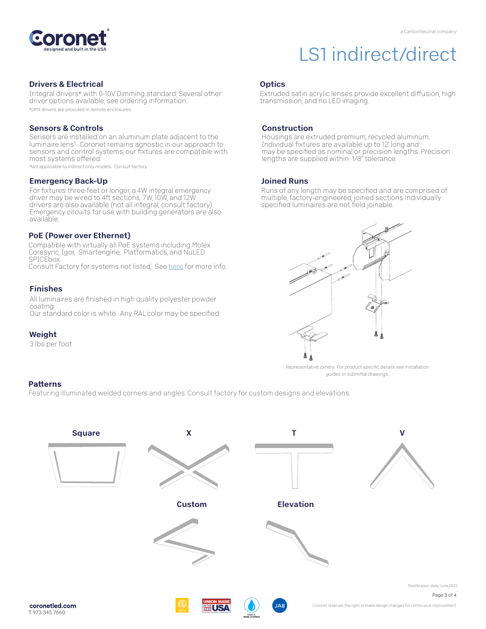

Housings are extruded premium, recycled aluminum. Individual fixtures are available up to 12' long and

lengths are supplied within 1/8" tolerance.

specified luminaires are not field joinable.

transmission, and no LED imaging.

**Construction** 

Joined Runs

**Optics** 

may be specified as nominal or precision lengths. Precision

Runs of any length may be specified and are comprised of multiple, factory-engineered, joined sections. Individually

> Representative joinery. For product specific details see installation guides or submittal drawings.

Extruded satin acrylic lenses provide excellent diffusion, high

#### Drivers & Electrical

Integral drivers\* with 0-10V Dimming standard. Several other driver options available; see ordering information. \*DMX drivers are provided in remote enclosures.

#### Sensors & Controls

Sensors are installed on an aluminum plate adjacent to the luminaire lens<sup>1</sup>. Coronet remains agnostic in our approach to sensors and control systems; our fixtures are compatible with most systems offered.

1Not applicable to indirect only models. Consult factory.

#### Emergency Back-Up

For fixtures three-feet or longer, a 4W integral emergency driver may be wired to 4ft sections. 7W, 10W, and 12W drivers are also available (not all integral; consult factory). Emergency circuits for use with building generators are also available.

#### PoE (Power over Ethernet)

Compatible with virtually all PoE systems including Molex Coresync, Igor, Smartengine, Platformatics, and NuLED SPICEbox. Consult Factory for systems not listed, See here for more info.

#### Finishes

All luminaires are finished in high quality polyester powder coating. Our standard color is white. Any RAL color may be specified.

#### Weight

3 lbs per foot

#### **Patterns**

Featuring illuminated welded corners and angles. Consult factory for custom designs and elevations.